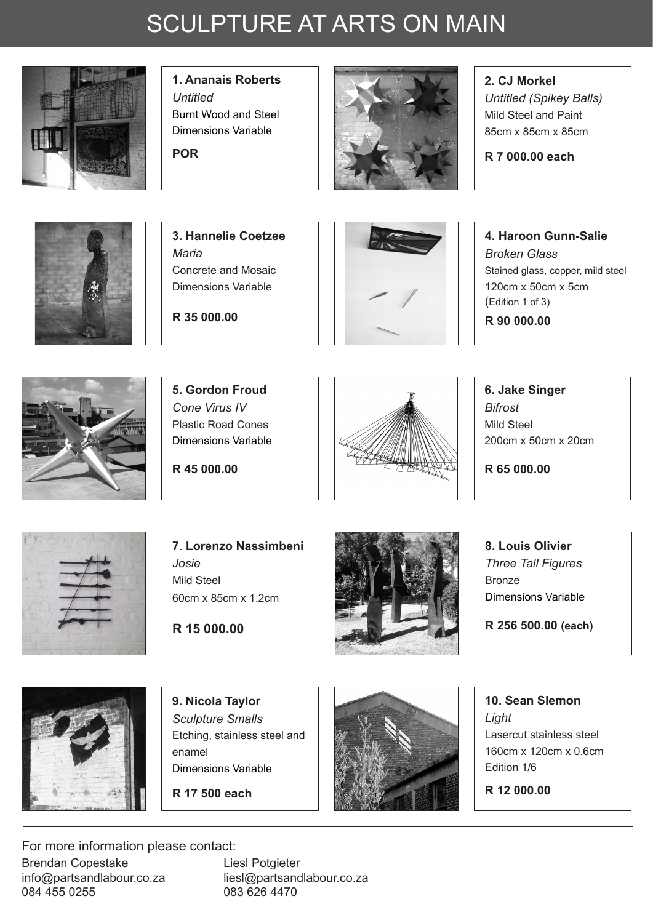## SCULPTURE AT ARTS ON MAIN



**1. Ananais Roberts** *Untitled* Burnt Wood and Steel Dimensions Variable

**POR**



**2. CJ Morkel** *Untitled (Spikey Balls)*  Mild Steel and Paint

**R 7 000.00 each**

85cm x 85cm x 85cm



**3. Hannelie Coetzee** *Maria* Concrete and Mosaic Dimensions Variable

**R 35 000.00**



**4. Haroon Gunn-Salie** *Broken Glass* Stained glass, copper, mild steel 120cm x 50cm x 5cm (Edition 1 of 3) **R 90 000.00**



**5. Gordon Froud** *Cone Virus IV* Plastic Road Cones Dimensions Variable

**R 45 000.00**



**6. Jake Singer** *Bifrost*  Mild Steel 200cm x 50cm x 20cm

**R 65 000.00**



**7**. **Lorenzo Nassimbeni** *Josie* Mild Steel 60cm x 85cm x 1.2cm

**R 15 000.00**



**8. Louis Olivier** *Three Tall Figures* Bronze Dimensions Variable

**R 256 500.00 (each)** 



**9. Nicola Taylor** *Sculpture Smalls* Etching, stainless steel and enamel Dimensions Variable

**R 17 500 each**



**10. Sean Slemon** *Light* Lasercut stainless steel 160cm x 120cm x 0.6cm Edition 1/6

**R 12 000.00**

For more information please contact: Brendan Copestake info@partsandlabour.co.za 084 455 0255

Liesl Potgieter liesl@partsandlabour.co.za 083 626 4470